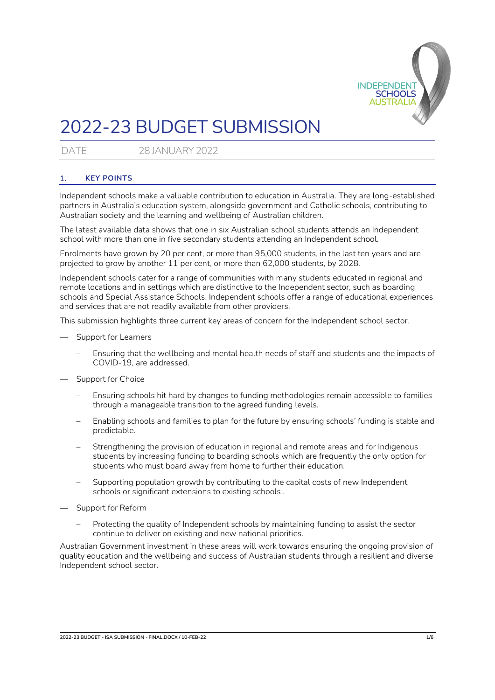

# 2022-23 BUDGET SUBMISSION

DATE 28 JANUARY 2022

## 1. **KEY POINTS**

Independent schools make a valuable contribution to education in Australia. They are long-established partners in Australia's education system, alongside government and Catholic schools, contributing to Australian society and the learning and wellbeing of Australian children.

The latest available data shows that one in six Australian school students attends an Independent school with more than one in five secondary students attending an Independent school.

Enrolments have grown by 20 per cent, or more than 95,000 students, in the last ten years and are projected to grow by another 11 per cent, or more than 62,000 students, by 2028.

Independent schools cater for a range of communities with many students educated in regional and remote locations and in settings which are distinctive to the Independent sector, such as boarding schools and Special Assistance Schools. Independent schools offer a range of educational experiences and services that are not readily available from other providers.

This submission highlights three current key areas of concern for the Independent school sector.

- Support for Learners
	- Ensuring that the wellbeing and mental health needs of staff and students and the impacts of COVID-19, are addressed.
- Support for Choice
	- Ensuring schools hit hard by changes to funding methodologies remain accessible to families through a manageable transition to the agreed funding levels.
	- Enabling schools and families to plan for the future by ensuring schools' funding is stable and predictable.
	- Strengthening the provision of education in regional and remote areas and for Indigenous students by increasing funding to boarding schools which are frequently the only option for students who must board away from home to further their education.
	- Supporting population growth by contributing to the capital costs of new Independent schools or significant extensions to existing schools..
- Support for Reform
	- Protecting the quality of Independent schools by maintaining funding to assist the sector continue to deliver on existing and new national priorities.

Australian Government investment in these areas will work towards ensuring the ongoing provision of quality education and the wellbeing and success of Australian students through a resilient and diverse Independent school sector.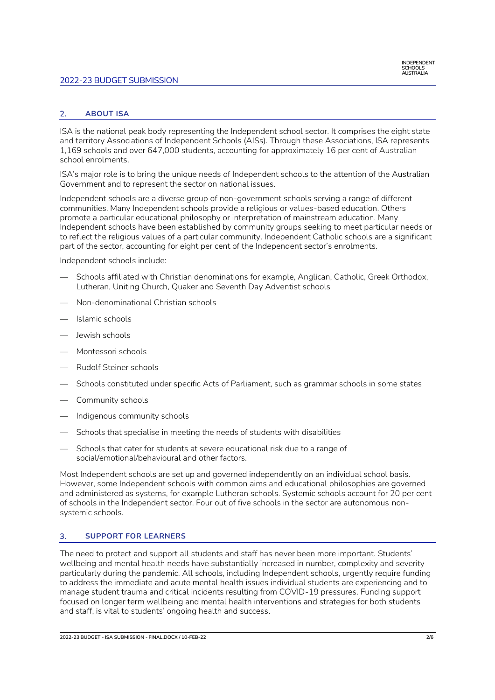## 2022-23 BUDGET SUBMISSION

## 2. **ABOUT ISA**

ISA is the national peak body representing the Independent school sector. It comprises the eight state and territory Associations of Independent Schools (AISs). Through these Associations, ISA represents 1,169 schools and over 647,000 students, accounting for approximately 16 per cent of Australian school enrolments.

ISA's major role is to bring the unique needs of Independent schools to the attention of the Australian Government and to represent the sector on national issues.

Independent schools are a diverse group of non-government schools serving a range of different communities. Many Independent schools provide a religious or values-based education. Others promote a particular educational philosophy or interpretation of mainstream education. Many Independent schools have been established by community groups seeking to meet particular needs or to reflect the religious values of a particular community. Independent Catholic schools are a significant part of the sector, accounting for eight per cent of the Independent sector's enrolments.

Independent schools include:

- Schools affiliated with Christian denominations for example, Anglican, Catholic, Greek Orthodox, Lutheran, Uniting Church, Quaker and Seventh Day Adventist schools
- Non-denominational Christian schools
- Islamic schools
- Jewish schools
- Montessori schools
- Rudolf Steiner schools
- Schools constituted under specific Acts of Parliament, such as grammar schools in some states
- Community schools
- Indigenous community schools
- Schools that specialise in meeting the needs of students with disabilities
- Schools that cater for students at severe educational risk due to a range of social/emotional/behavioural and other factors.

Most Independent schools are set up and governed independently on an individual school basis. However, some Independent schools with common aims and educational philosophies are governed and administered as systems, for example Lutheran schools. Systemic schools account for 20 per cent of schools in the Independent sector. Four out of five schools in the sector are autonomous nonsystemic schools.

### 3. **SUPPORT FOR LEARNERS**

The need to protect and support all students and staff has never been more important. Students' wellbeing and mental health needs have substantially increased in number, complexity and severity particularly during the pandemic. All schools, including Independent schools, urgently require funding to address the immediate and acute mental health issues individual students are experiencing and to manage student trauma and critical incidents resulting from COVID-19 pressures. Funding support focused on longer term wellbeing and mental health interventions and strategies for both students and staff, is vital to students' ongoing health and success.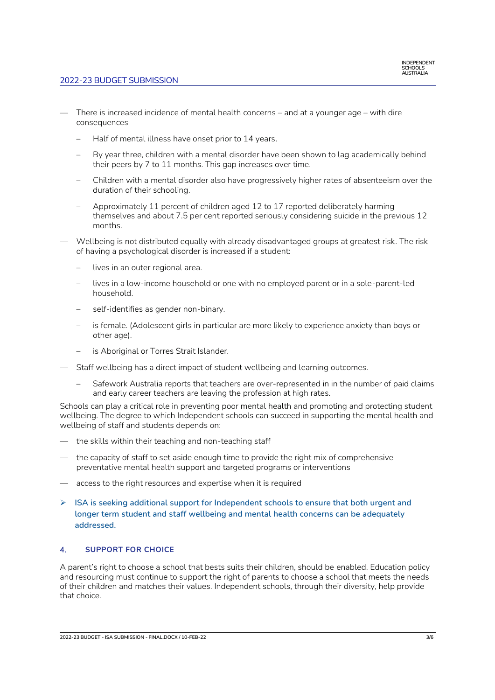

- There is increased incidence of mental health concerns and at a younger age with dire consequences
	- Half of mental illness have onset prior to 14 years.
	- By year three, children with a mental disorder have been shown to lag academically behind their peers by 7 to 11 months. This gap increases over time.
	- Children with a mental disorder also have progressively higher rates of absenteeism over the duration of their schooling.
	- Approximately 11 percent of children aged 12 to 17 reported deliberately harming themselves and about 7.5 per cent reported seriously considering suicide in the previous 12 months.
- Wellbeing is not distributed equally with already disadvantaged groups at greatest risk. The risk of having a psychological disorder is increased if a student:
	- lives in an outer regional area.
	- lives in a low-income household or one with no employed parent or in a sole-parent-led household.
	- self-identifies as gender non-binary.
	- is female. (Adolescent girls in particular are more likely to experience anxiety than boys or other age).
	- is Aboriginal or Torres Strait Islander.
- Staff wellbeing has a direct impact of student wellbeing and learning outcomes.
	- Safework Australia reports that teachers are over-represented in in the number of paid claims and early career teachers are leaving the profession at high rates.

Schools can play a critical role in preventing poor mental health and promoting and protecting student wellbeing. The degree to which Independent schools can succeed in supporting the mental health and wellbeing of staff and students depends on:

- the skills within their teaching and non-teaching staff
- the capacity of staff to set aside enough time to provide the right mix of comprehensive preventative mental health support and targeted programs or interventions
- access to the right resources and expertise when it is required
- ➢ **ISA is seeking additional support for Independent schools to ensure that both urgent and longer term student and staff wellbeing and mental health concerns can be adequately addressed.**

## 4. **SUPPORT FOR CHOICE**

A parent's right to choose a school that bests suits their children, should be enabled. Education policy and resourcing must continue to support the right of parents to choose a school that meets the needs of their children and matches their values. Independent schools, through their diversity, help provide that choice.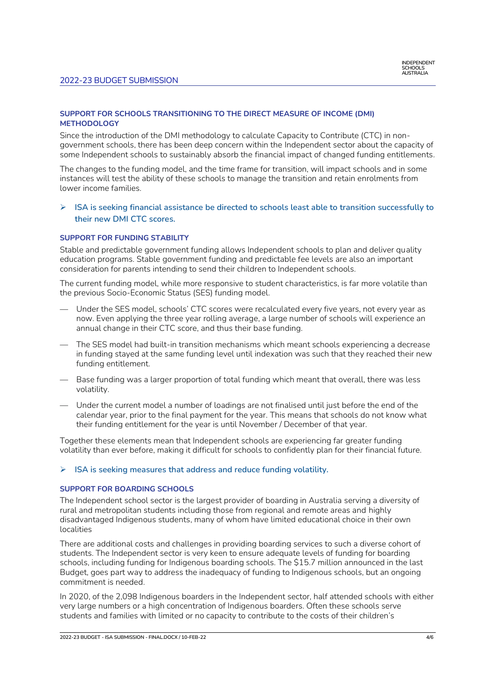## **SUPPORT FOR SCHOOLS TRANSITIONING TO THE DIRECT MEASURE OF INCOME (DMI) METHODOLOGY**

Since the introduction of the DMI methodology to calculate Capacity to Contribute (CTC) in nongovernment schools, there has been deep concern within the Independent sector about the capacity of some Independent schools to sustainably absorb the financial impact of changed funding entitlements.

The changes to the funding model, and the time frame for transition, will impact schools and in some instances will test the ability of these schools to manage the transition and retain enrolments from lower income families.

➢ **ISA is seeking financial assistance be directed to schools least able to transition successfully to their new DMI CTC scores.**

### **SUPPORT FOR FUNDING STABILITY**

Stable and predictable government funding allows Independent schools to plan and deliver quality education programs. Stable government funding and predictable fee levels are also an important consideration for parents intending to send their children to Independent schools.

The current funding model, while more responsive to student characteristics, is far more volatile than the previous Socio-Economic Status (SES) funding model.

- Under the SES model, schools' CTC scores were recalculated every five years, not every year as now. Even applying the three year rolling average, a large number of schools will experience an annual change in their CTC score, and thus their base funding.
- The SES model had built-in transition mechanisms which meant schools experiencing a decrease in funding stayed at the same funding level until indexation was such that they reached their new funding entitlement.
- Base funding was a larger proportion of total funding which meant that overall, there was less volatility.
- Under the current model a number of loadings are not finalised until just before the end of the calendar year, prior to the final payment for the year. This means that schools do not know what their funding entitlement for the year is until November / December of that year.

Together these elements mean that Independent schools are experiencing far greater funding volatility than ever before, making it difficult for schools to confidently plan for their financial future.

### ➢ **ISA is seeking measures that address and reduce funding volatility.**

### **SUPPORT FOR BOARDING SCHOOLS**

The Independent school sector is the largest provider of boarding in Australia serving a diversity of rural and metropolitan students including those from regional and remote areas and highly disadvantaged Indigenous students, many of whom have limited educational choice in their own localities

There are additional costs and challenges in providing boarding services to such a diverse cohort of students. The Independent sector is very keen to ensure adequate levels of funding for boarding schools, including funding for Indigenous boarding schools. The \$15.7 million announced in the last Budget, goes part way to address the inadequacy of funding to Indigenous schools, but an ongoing commitment is needed.

In 2020, of the 2,098 Indigenous boarders in the Independent sector, half attended schools with either very large numbers or a high concentration of Indigenous boarders. Often these schools serve students and families with limited or no capacity to contribute to the costs of their children's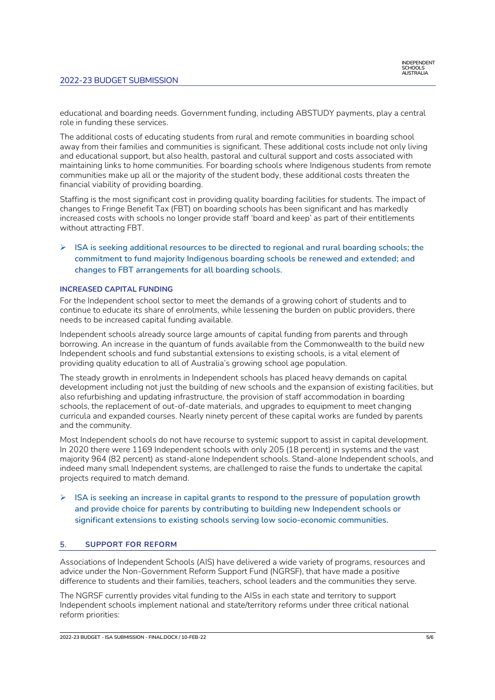educational and boarding needs. Government funding, including ABSTUDY payments, play a central role in funding these services.

The additional costs of educating students from rural and remote communities in boarding school away from their families and communities is significant. These additional costs include not only living and educational support, but also health, pastoral and cultural support and costs associated with maintaining links to home communities. For boarding schools where Indigenous students from remote communities make up all or the majority of the student body, these additional costs threaten the financial viability of providing boarding.

Staffing is the most significant cost in providing quality boarding facilities for students. The impact of changes to Fringe Benefit Tax (FBT) on boarding schools has been significant and has markedly increased costs with schools no longer provide staff 'board and keep' as part of their entitlements without attracting FBT.

➢ **ISA is seeking additional resources to be directed to regional and rural boarding schools; the commitment to fund majority Indigenous boarding schools be renewed and extended; and changes to FBT arrangements for all boarding schools.**

#### **INCREASED CAPITAL FUNDING**

For the Independent school sector to meet the demands of a growing cohort of students and to continue to educate its share of enrolments, while lessening the burden on public providers, there needs to be increased capital funding available.

Independent schools already source large amounts of capital funding from parents and through borrowing. An increase in the quantum of funds available from the Commonwealth to the build new Independent schools and fund substantial extensions to existing schools, is a vital element of providing quality education to all of Australia's growing school age population.

The steady growth in enrolments in Independent schools has placed heavy demands on capital development including not just the building of new schools and the expansion of existing facilities, but also refurbishing and updating infrastructure, the provision of staff accommodation in boarding schools, the replacement of out-of-date materials, and upgrades to equipment to meet changing curricula and expanded courses. Nearly ninety percent of these capital works are funded by parents and the community.

Most Independent schools do not have recourse to systemic support to assist in capital development. In 2020 there were 1169 Independent schools with only 205 (18 percent) in systems and the vast majority 964 (82 percent) as stand-alone Independent schools. Stand-alone Independent schools, and indeed many small Independent systems, are challenged to raise the funds to undertake the capital projects required to match demand.

➢ **ISA is seeking an increase in capital grants to respond to the pressure of population growth and provide choice for parents by contributing to building new Independent schools or significant extensions to existing schools serving low socio-economic communities.** 

### 5. **SUPPORT FOR REFORM**

Associations of Independent Schools (AIS) have delivered a wide variety of programs, resources and advice under the Non-Government Reform Support Fund (NGRSF), that have made a positive difference to students and their families, teachers, school leaders and the communities they serve.

The NGRSF currently provides vital funding to the AISs in each state and territory to support Independent schools implement national and state/territory reforms under three critical national reform priorities: